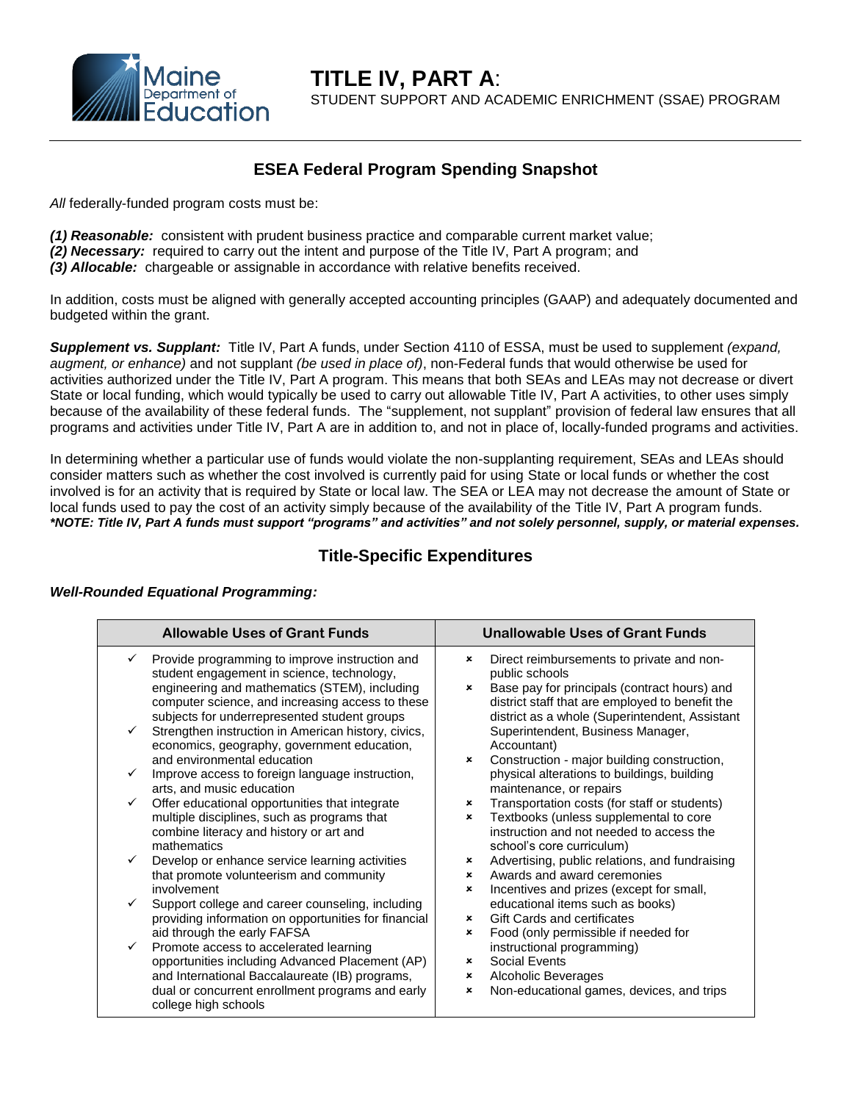

## **ESEA Federal Program Spending Snapshot**

*All* federally-funded program costs must be:

*(1) Reasonable:* consistent with prudent business practice and comparable current market value;

- *(2) Necessary:* required to carry out the intent and purpose of the Title IV, Part A program; and
- *(3) Allocable:* chargeable or assignable in accordance with relative benefits received.

In addition, costs must be aligned with generally accepted accounting principles (GAAP) and adequately documented and budgeted within the grant.

*Supplement vs. Supplant:* Title IV, Part A funds, under Section 4110 of ESSA, must be used to supplement *(expand, augment, or enhance)* and not supplant *(be used in place of)*, non-Federal funds that would otherwise be used for activities authorized under the Title IV, Part A program. This means that both SEAs and LEAs may not decrease or divert State or local funding, which would typically be used to carry out allowable Title IV, Part A activities, to other uses simply because of the availability of these federal funds. The "supplement, not supplant" provision of federal law ensures that all programs and activities under Title IV, Part A are in addition to, and not in place of, locally-funded programs and activities.

In determining whether a particular use of funds would violate the non-supplanting requirement, SEAs and LEAs should consider matters such as whether the cost involved is currently paid for using State or local funds or whether the cost involved is for an activity that is required by State or local law. The SEA or LEA may not decrease the amount of State or local funds used to pay the cost of an activity simply because of the availability of the Title IV, Part A program funds. *\*NOTE: Title IV, Part A funds must support "programs" and activities" and not solely personnel, supply, or material expenses.*

## **Title-Specific Expenditures**

| <b>Allowable Uses of Grant Funds</b> |                                                                                                                                                                                                                                                                                                                       | <b>Unallowable Uses of Grant Funds</b> |                                                                                                                                                                                                                                                       |
|--------------------------------------|-----------------------------------------------------------------------------------------------------------------------------------------------------------------------------------------------------------------------------------------------------------------------------------------------------------------------|----------------------------------------|-------------------------------------------------------------------------------------------------------------------------------------------------------------------------------------------------------------------------------------------------------|
| $\checkmark$                         | $\checkmark$ Provide programming to improve instruction and<br>student engagement in science, technology,<br>engineering and mathematics (STEM), including<br>computer science, and increasing access to these<br>subjects for underrepresented student groups<br>Strengthen instruction in American history, civics, | ×<br>$\boldsymbol{\mathsf{x}}$         | Direct reimbursements to private and non-<br>public schools<br>Base pay for principals (contract hours) and<br>district staff that are employed to benefit the<br>district as a whole (Superintendent, Assistant<br>Superintendent, Business Manager, |
|                                      | economics, geography, government education,<br>and environmental education                                                                                                                                                                                                                                            | $\mathbf x$                            | Accountant)<br>Construction - major building construction,                                                                                                                                                                                            |
|                                      | Improve access to foreign language instruction,<br>arts, and music education                                                                                                                                                                                                                                          |                                        | physical alterations to buildings, building<br>maintenance, or repairs                                                                                                                                                                                |
| $\checkmark$                         | Offer educational opportunities that integrate<br>multiple disciplines, such as programs that<br>combine literacy and history or art and<br>mathematics                                                                                                                                                               | ×<br>×                                 | Transportation costs (for staff or students)<br>Textbooks (unless supplemental to core<br>instruction and not needed to access the<br>school's core curriculum)                                                                                       |
| ✓                                    | Develop or enhance service learning activities<br>that promote volunteerism and community<br>involvement                                                                                                                                                                                                              | ×<br>×<br>×                            | Advertising, public relations, and fundraising<br>Awards and award ceremonies<br>Incentives and prizes (except for small,                                                                                                                             |
| $\checkmark$                         | Support college and career counseling, including<br>providing information on opportunities for financial<br>aid through the early FAFSA                                                                                                                                                                               | $\mathbf{x}$<br>×                      | educational items such as books)<br><b>Gift Cards and certificates</b><br>Food (only permissible if needed for                                                                                                                                        |
| $\checkmark$                         | Promote access to accelerated learning<br>opportunities including Advanced Placement (AP)<br>and International Baccalaureate (IB) programs,<br>dual or concurrent enrollment programs and early<br>college high schools                                                                                               | $\boldsymbol{\mathsf{x}}$<br>×<br>×    | instructional programming)<br><b>Social Events</b><br>Alcoholic Beverages<br>Non-educational games, devices, and trips                                                                                                                                |

## *Well-Rounded Equational Programming:*